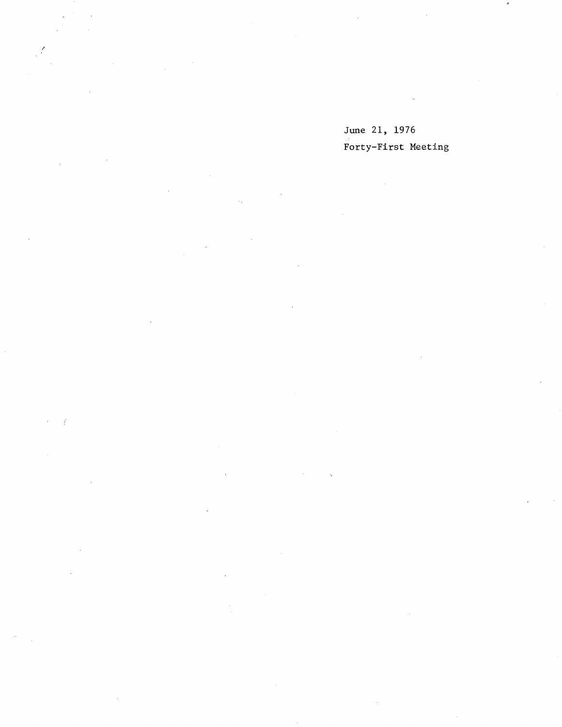June 21, 1976 Forty-First Meeting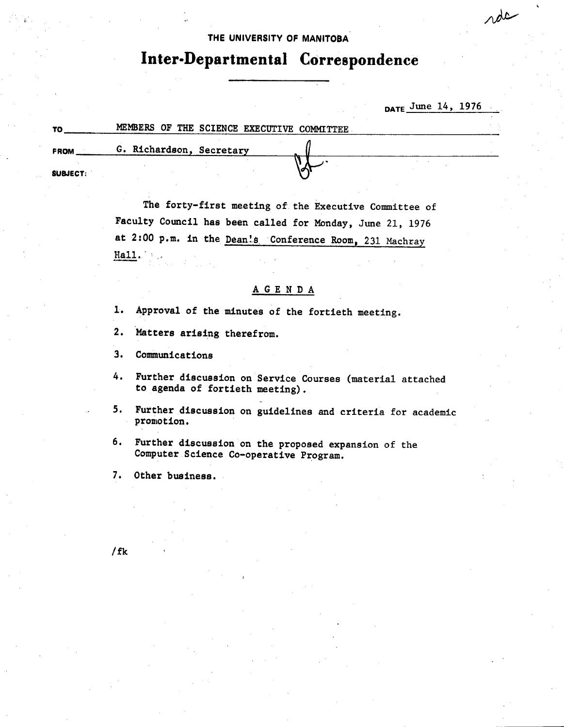## **THE UNIVERSITY OF MANITOBA**

/—

# **Inter.Departmental Correspondence**

|                 |                                            | $_{\text{DATE}}$ June 14, 1976 |
|-----------------|--------------------------------------------|--------------------------------|
| ТO              | MEMBERS OF THE SCIENCE EXECUTIVE COMMITTEE |                                |
| FROM            | G. Richardson, Secretary                   |                                |
| <b>SUBJECT:</b> |                                            |                                |

The forty-first meeting of the Executive Committee of Faculty Council has been called for Monday, June 21, 1976 at 2:00 p.m. in the Dean's Conference Room, 231 Machray Hall.

## **A G** E N D A

- Approval of the minutes of the fortieth meeting.
- $2.$ Matters arising therefrom.
- $3.$ **Communications**
- Further discussion on Service Courses (material attached to agenda of fortieth meeting).
- 5. Further discussion on guidelines and criteria for academic promotion.
- Further discussion on the proposed expansion of the 6. Computer Science Co-operative Program.
- Other business.

/fk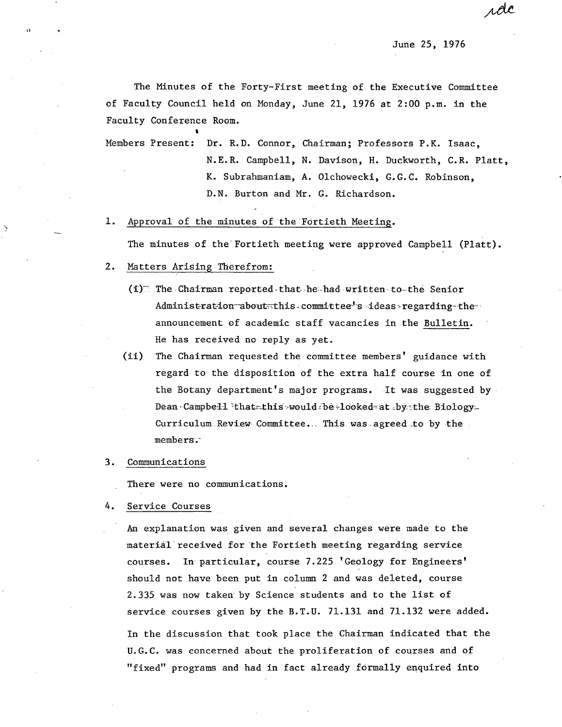June 25, 1976

rde

The Minutes of the Forty-First meeting of the Executive Committee of Faculty Council held on Monday, June 21, 1976 at 2:00 p.m. in the Faculty Conference Room. ce<br>•

Members Present: Dr. R.D. Connor, Chairman; Professors P.K. Isaac, N.E.R. Campbell, N. Davison, H. Duckworth, C.R. Platt, K. Subrahmaniam, A. Olchowecki, G.G.C. Robinson, D.N. Burton and Mr. G. Richardson.

#### $1.$ Approval of the minutes of the Fortieth Meeting.

The minutes of the Fortieth meeting were approved Campbell (Platt).

#### $2.$ Matters Arising Therefrom:

- $(i)$  The Chairman reported-that he had written to-the Senior Administration-aboutthis committee's ideas regarding-the-announcement of academic staff vacancies in the Bulletin. He has received no reply as yet.
- (ii) The Chairman requested the committee members' guidance with regard to the disposition of the extra half course in one of the Botany department's major programs. It was suggested by Dean-Campbell that this would be -looked-at bythe Biology. Curriculum Review Committee... This was agreed to by the members

#### $3.$ Communications

There were no communications.

4. Service Courses

> An explanation was given and several changes were made to the materiãl'received for 'the Fortieth meeting regarding service courses. In particular, course 7.225 'Geology for Engineers' should not have been put in column 2 and was deleted, course 2.335 was now taken by Science students and to the list of service courses given by the B.T.U. 71.131 and 71.132 were added. In the discussion that took place the Chairman indicated that the U.G.C. was concerned about the proliferation of courses and of "fixed" programs and had in fact already formally enquired into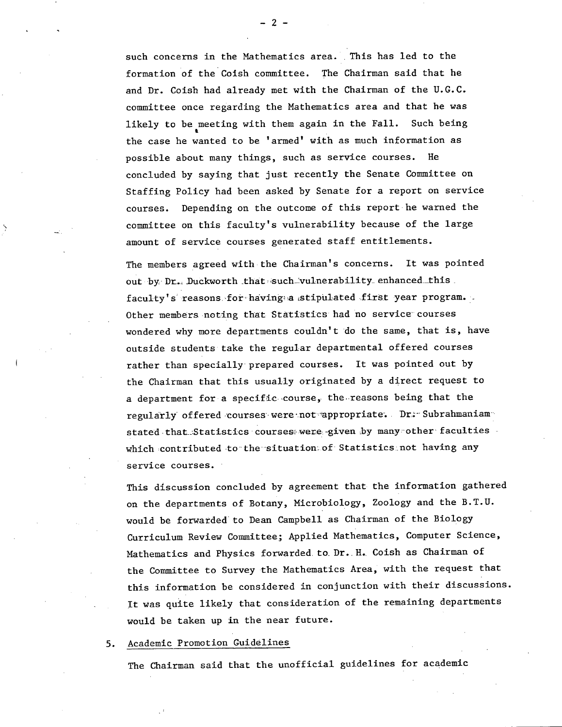such concerns in the Mathematics area. This has led to the formation of the Coish committee. The Chairman said that he and Dr. Coish had already met with the Chairman of the U.G.C. committee once regarding the Mathematics area and that he was likely to be meeting with them again in the Fall. Such being the case he wanted to be 'armed' with as much information as possible about many things, such as service courses. He concluded by saying that just recently the Senate Committee on Staffing Policy had been asked by Senate for a report on service courses. Depending on the outcome of this report he warned the committee on this faculty's vulnerability because of the large amount of service courses generated staff entitlements.

The members agreed with the Chairman's concerns. It was pointed out by Dr. Duckworth that such vulnerability enhanced this. faculty's reasons for having a stipulated first year program. Other members noting that Statistics had no service courses wondered why more departments couldn't •do the same, that **is,** have outside students take the regular departmental offered courses rather than specially' prepared courses. It was pointed out by the Chairman that this usually originated by a direct request to a department for a specific course, the reasons being that the regularly offered courses were not appropriate. Dr - Subrahmaniamstated that. Statistics courses were given by many other faculties which contributed to' the'situation of Statistics'not having any service courses.

This discussion concluded by agreement that the information gathered on the departments of Botany, Microbiology, Zoology and the B.T.U. would be forwarded' to Dean Campbell as Chairman of the Biology Curriculum Review Committee; Applied Mathematics, Computer Science, Mathematics and Physics forwarded to Dr. H. Coish as Chairman of the Committee to Survey the Mathematics Area, with the request that this information be considered in conjunction with their discussions. It was quite likely that consideration of the remaining departments would be taken up in the near future.

5. Academic Promotion Guidelines

The Chairman said that the unofficial guidelines for academic

-2-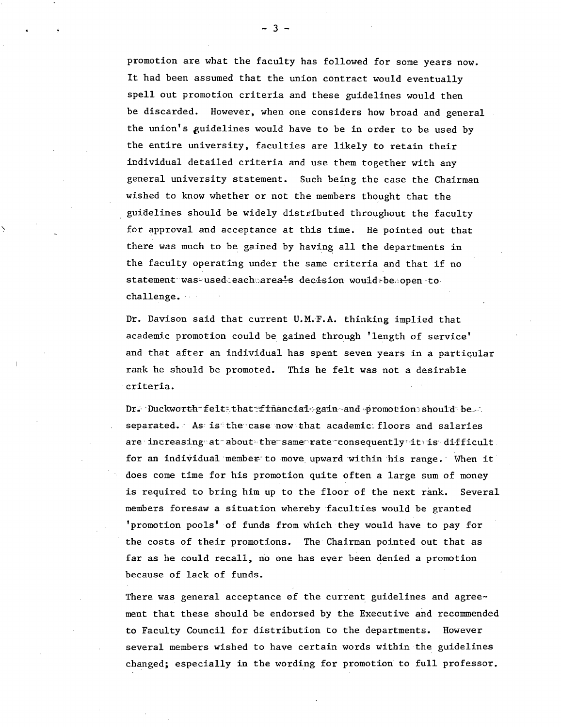promotion are what the faculty has followed for some years now. It had been assumed that the union contract would eventually spell out promotion criteria and these guidelines would then be discarded. However, when one considers how broad and general the union's guidelines would have to be in order to be used by the entire university, faculties are likely to retain their individual detailed criteria and use them together with any general university statement. Such being the case the Chairman wished to know whether or not the members thought that the guidelines should be widely distributed throughout the faculty for approval and acceptance at this time. He pointed out that there was much to be gained by having all the departments in the faculty operating under the same criteria and that if no statement-was-used-each area<sup>1</sup>s decision would-be open to challenge.

Dr. Davison said that current U.M.F.A. thinking implied that academic promotion could be gained through 'length of service' and that after an individual has spent seven years in a particular rank he should be promoted. This he felt was not a desirable criteria.

Dr. Duckworth felt that financial gain and promotion should be. separated. As is the case now that academic floors and salaries are increasing at about the same rate consequently it is difficult. for an individual member to move upward within his range. When it does come time for his promotion quite often a large sum of money is required to bring him up to the floor of the next rank. Several members foresaw a situation whereby 'faculties would be granted 'promotion pools' of funds from which they would have to pay for the costs of their promotions. The'Chairman pointed out that as far as he could recall, no one has ever been denied a promotion because of lack of funds.

There was general acceptance of the current guidelines and agreement that these should be endorsed by the Executive and recommended to Faculty Council for distribution to the departments. However several members wished to have certain words within the guidelines changed; especially in the wording for promotion to full professor.

-3-